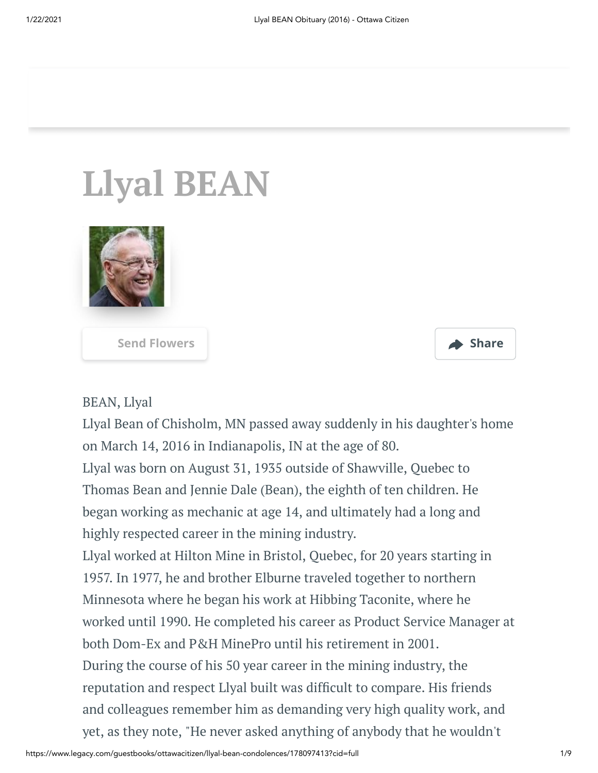# **Llyal BEAN**



**[Send Flowers](http://www.crownfloralboutique.com/?utm_source=Ottawa%20Citizen%20Mobile%20Campaign&utm_medium=Banner&utm_campaign=Ottawa%20Citizen%20Mobile%20Campaign&pm=205) Share**



### BEAN, Llyal

Llyal Bean of Chisholm, MN passed away suddenly in his daughter's home on March 14, 2016 in Indianapolis, IN at the age of 80.

Llyal was born on August 31, 1935 outside of Shawville, Quebec to Thomas Bean and Jennie Dale (Bean), the eighth of ten children. He began working as mechanic at age 14, and ultimately had a long and highly respected career in the mining industry.

Llyal worked at Hilton Mine in Bristol, Quebec, for 20 years starting in 1957. In 1977, he and brother Elburne traveled together to northern Minnesota where he began his work at Hibbing Taconite, where he worked until 1990. He completed his career as Product Service Manager at both Dom-Ex and P&H MinePro until his retirement in 2001. During the course of his 50 year career in the mining industry, the reputation and respect Llyal built was difficult to compare. His friends and colleagues remember him as demanding very high quality work, and yet, as they note, "He never asked anything of anybody that he wouldn't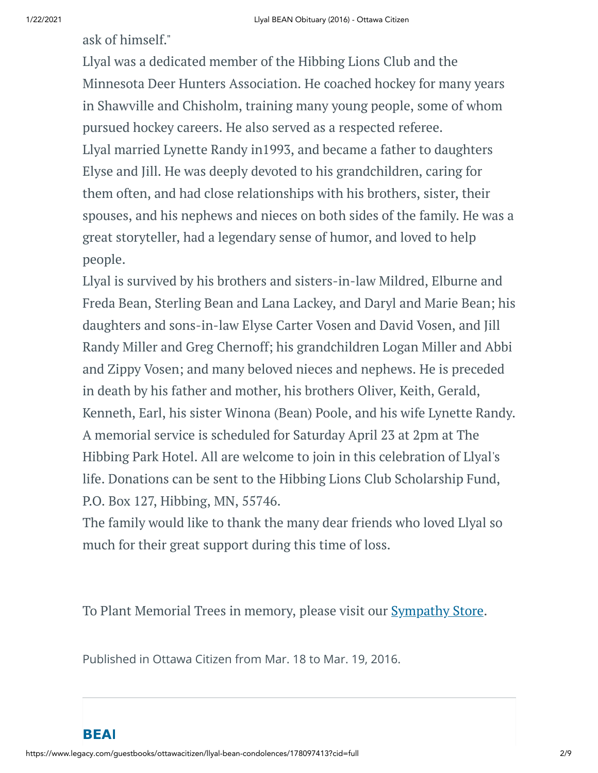ask of himself."

Llyal was a dedicated member of the Hibbing Lions Club and the Minnesota Deer Hunters Association. He coached hockey for many years in Shawville and Chisholm, training many young people, some of whom pursued hockey careers. He also served as a respected referee. Llyal married Lynette Randy in1993, and became a father to daughters Elyse and Jill. He was deeply devoted to his grandchildren, caring for them often, and had close relationships with his brothers, sister, their spouses, and his nephews and nieces on both sides of the family. He was a great storyteller, had a legendary sense of humor, and loved to help people.

Llyal is survived by his brothers and sisters-in-law Mildred, Elburne and Freda Bean, Sterling Bean and Lana Lackey, and Daryl and Marie Bean; his daughters and sons-in-law Elyse Carter Vosen and David Vosen, and Jill Randy Miller and Greg Chernoff; his grandchildren Logan Miller and Abbi and Zippy Vosen; and many beloved nieces and nephews. He is preceded in death by his father and mother, his brothers Oliver, Keith, Gerald, Kenneth, Earl, his sister Winona (Bean) Poole, and his wife Lynette Randy. A memorial service is scheduled for Saturday April 23 at 2pm at The Hibbing Park Hotel. All are welcome to join in this celebration of Llyal's life. Donations can be sent to the Hibbing Lions Club Scholarship Fund, P.O. Box 127, Hibbing, MN, 55746.

The family would like to thank the many dear friends who loved Llyal so much for their great support during this time of loss.

To Plant Memorial Trees in memory, please visit our **[Sympathy](http://www.crownfloralboutique.com/?utm_source=Ottawa%20Citizen%20Mobile%20Campaign&utm_medium=Banner&utm_campaign=Ottawa%20Citizen%20Mobile%20Campaign&pm=240) Store**.

Published in Ottawa Citizen from Mar. 18 to Mar. 19, 2016.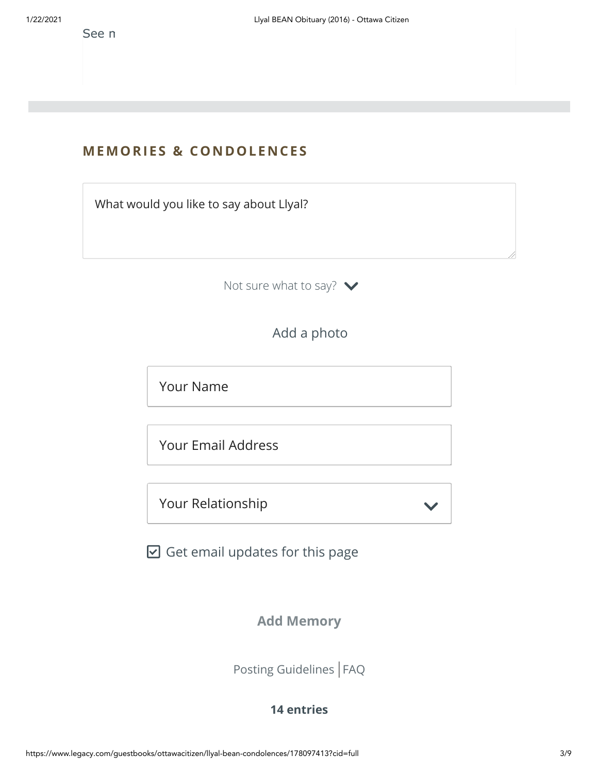See n

## **MEMORIES & CO N DOLE N CES**

What would you like to say about Llyal?

Not sure what to say?  $\blacktriangleright$ 

Add a photo

Your Name

Your Email Address

Your Relationship

 $\boxdot$  Get email updates for this page

**Add Memory**

 $\checkmark$ 

[Posting Guidelines](https://www.legacy.com/guestbooks/posting-guidelines.aspx?n=Llyal-BEAN&pid=178097413) | [FAQ](https://www.legacy.com/guestbooks/faq.aspx?n=Llyal-BEAN&pid=178097413)

#### **14 entries**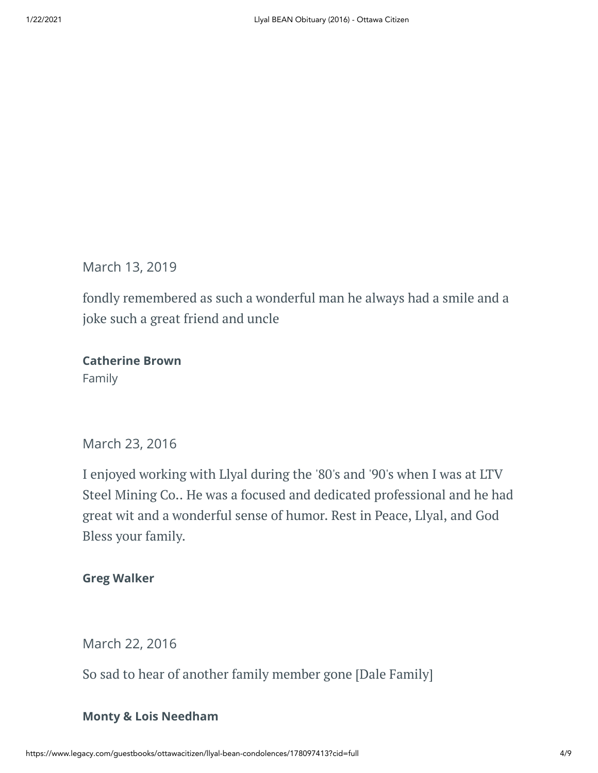March 13, 2019

fondly remembered as such a wonderful man he always had a smile and a joke such a great friend and uncle

**Catherine Brown** Family

March 23, 2016

I enjoyed working with Llyal during the '80's and '90's when I was at LTV Steel Mining Co.. He was a focused and dedicated professional and he had great wit and a wonderful sense of humor. Rest in Peace, Llyal, and God Bless your family.

**Greg Walker**

March 22, 2016

So sad to hear of another family member gone [Dale Family]

### **Monty & Lois Needham**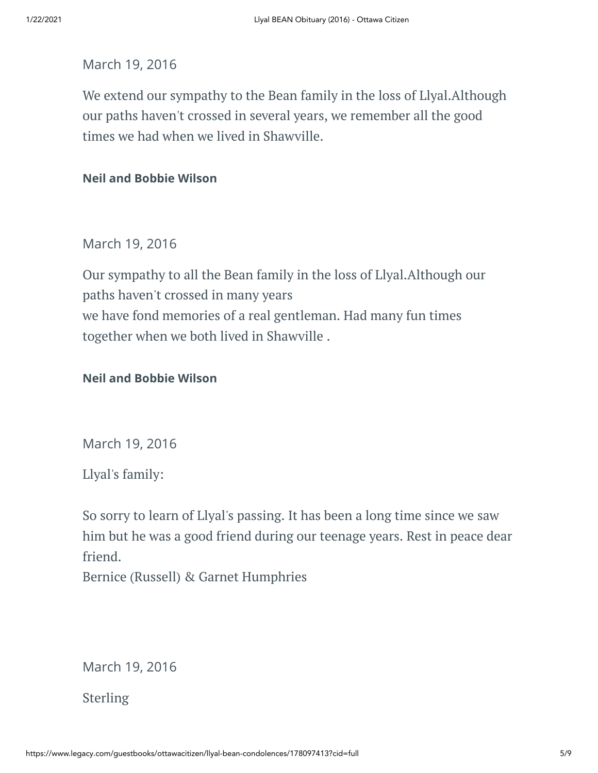#### March 19, 2016

We extend our sympathy to the Bean family in the loss of Llyal.Although our paths haven't crossed in several years, we remember all the good times we had when we lived in Shawville.

#### **Neil and Bobbie Wilson**

### March 19, 2016

Our sympathy to all the Bean family in the loss of Llyal.Although our paths haven't crossed in many years we have fond memories of a real gentleman. Had many fun times together when we both lived in Shawville .

#### **Neil and Bobbie Wilson**

March 19, 2016

Llyal's family:

So sorry to learn of Llyal's passing. It has been a long time since we saw him but he was a good friend during our teenage years. Rest in peace dear friend.

Bernice (Russell) & Garnet Humphries

March 19, 2016

Sterling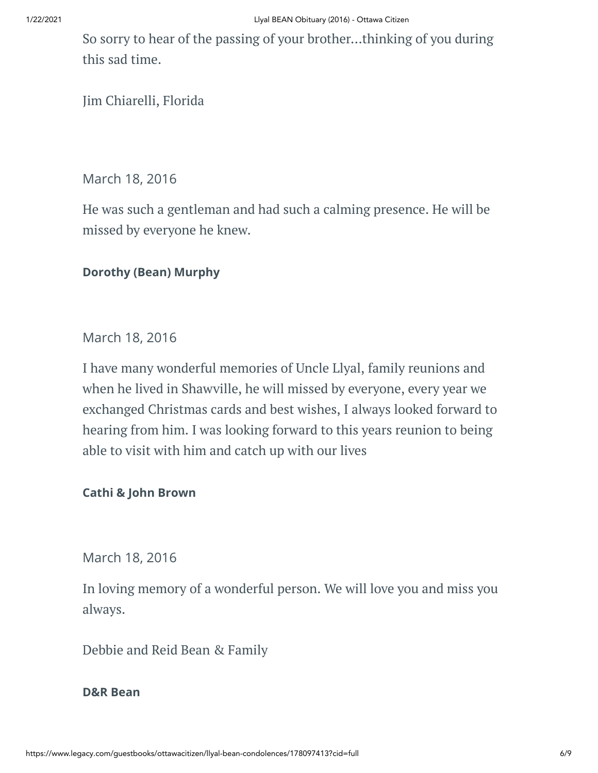So sorry to hear of the passing of your brother...thinking of you during this sad time.

Jim Chiarelli, Florida

March 18, 2016

He was such a gentleman and had such a calming presence. He will be missed by everyone he knew.

#### **Dorothy (Bean) Murphy**

March 18, 2016

I have many wonderful memories of Uncle Llyal, family reunions and when he lived in Shawville, he will missed by everyone, every year we exchanged Christmas cards and best wishes, I always looked forward to hearing from him. I was looking forward to this years reunion to being able to visit with him and catch up with our lives

#### **Cathi & John Brown**

March 18, 2016

In loving memory of a wonderful person. We will love you and miss you always.

Debbie and Reid Bean & Family

#### **D&R Bean**